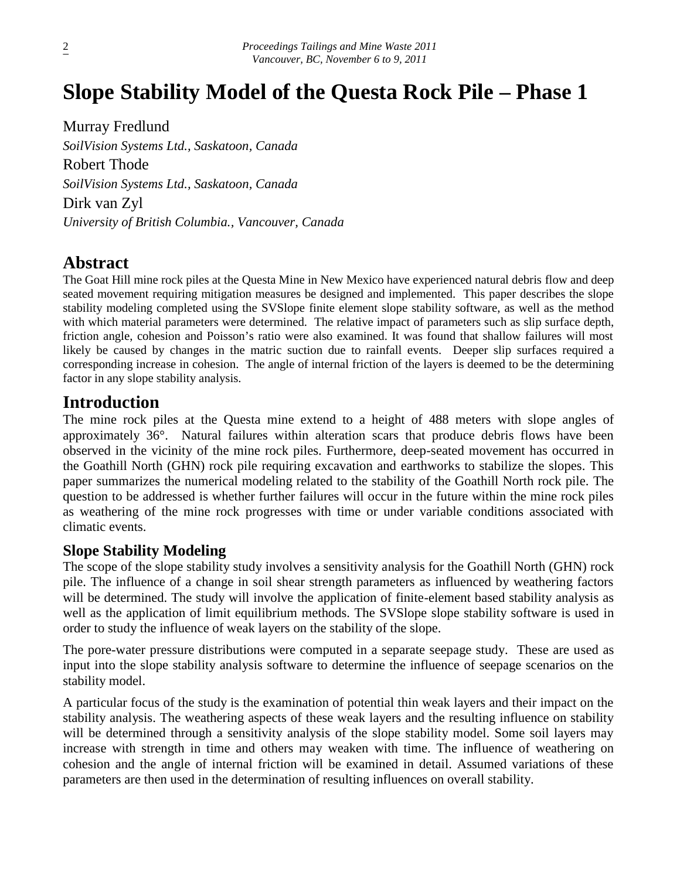# **Slope Stability Model of the Questa Rock Pile – Phase 1**

Murray Fredlund *SoilVision Systems Ltd., Saskatoon, Canada* Robert Thode *SoilVision Systems Ltd., Saskatoon, Canada* Dirk van Zyl *University of British Columbia., Vancouver, Canada*

# **Abstract**

The Goat Hill mine rock piles at the Questa Mine in New Mexico have experienced natural debris flow and deep seated movement requiring mitigation measures be designed and implemented. This paper describes the slope stability modeling completed using the SVSlope finite element slope stability software, as well as the method with which material parameters were determined. The relative impact of parameters such as slip surface depth, friction angle, cohesion and Poisson's ratio were also examined. It was found that shallow failures will most likely be caused by changes in the matric suction due to rainfall events. Deeper slip surfaces required a corresponding increase in cohesion. The angle of internal friction of the layers is deemed to be the determining factor in any slope stability analysis.

# **Introduction**

The mine rock piles at the Questa mine extend to a height of 488 meters with slope angles of approximately 36°. Natural failures within alteration scars that produce debris flows have been observed in the vicinity of the mine rock piles. Furthermore, deep-seated movement has occurred in the Goathill North (GHN) rock pile requiring excavation and earthworks to stabilize the slopes. This paper summarizes the numerical modeling related to the stability of the Goathill North rock pile. The question to be addressed is whether further failures will occur in the future within the mine rock piles as weathering of the mine rock progresses with time or under variable conditions associated with climatic events.

### **Slope Stability Modeling**

The scope of the slope stability study involves a sensitivity analysis for the Goathill North (GHN) rock pile. The influence of a change in soil shear strength parameters as influenced by weathering factors will be determined. The study will involve the application of finite-element based stability analysis as well as the application of limit equilibrium methods. The SVSlope slope stability software is used in order to study the influence of weak layers on the stability of the slope.

The pore-water pressure distributions were computed in a separate seepage study. These are used as input into the slope stability analysis software to determine the influence of seepage scenarios on the stability model.

A particular focus of the study is the examination of potential thin weak layers and their impact on the stability analysis. The weathering aspects of these weak layers and the resulting influence on stability will be determined through a sensitivity analysis of the slope stability model. Some soil layers may increase with strength in time and others may weaken with time. The influence of weathering on cohesion and the angle of internal friction will be examined in detail. Assumed variations of these parameters are then used in the determination of resulting influences on overall stability.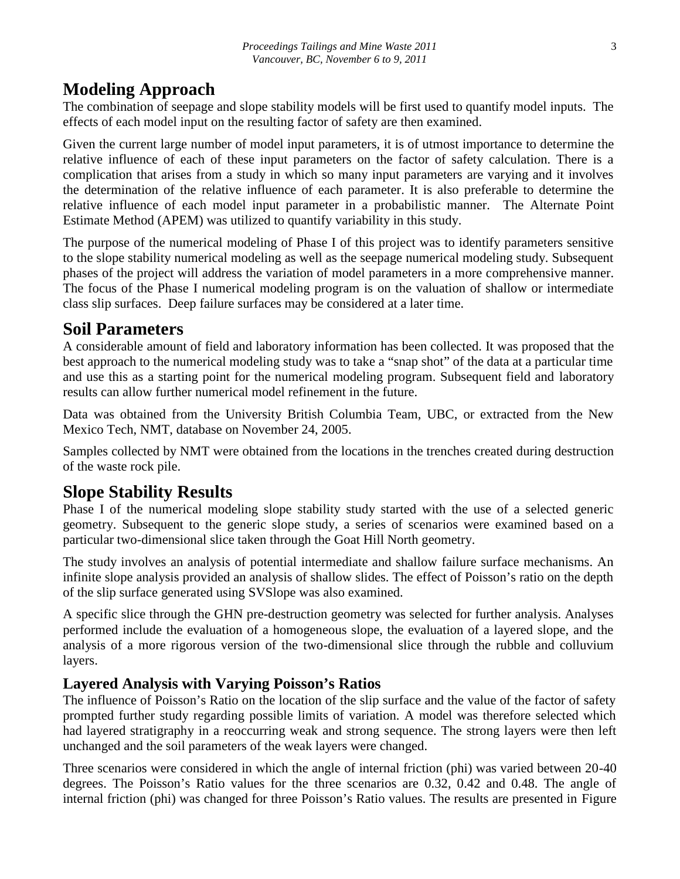#### **Modeling Approach**

The combination of seepage and slope stability models will be first used to quantify model inputs. The effects of each model input on the resulting factor of safety are then examined.

Given the current large number of model input parameters, it is of utmost importance to determine the relative influence of each of these input parameters on the factor of safety calculation. There is a complication that arises from a study in which so many input parameters are varying and it involves the determination of the relative influence of each parameter. It is also preferable to determine the relative influence of each model input parameter in a probabilistic manner. The Alternate Point Estimate Method (APEM) was utilized to quantify variability in this study.

The purpose of the numerical modeling of Phase I of this project was to identify parameters sensitive to the slope stability numerical modeling as well as the seepage numerical modeling study. Subsequent phases of the project will address the variation of model parameters in a more comprehensive manner. The focus of the Phase I numerical modeling program is on the valuation of shallow or intermediate class slip surfaces. Deep failure surfaces may be considered at a later time.

#### **Soil Parameters**

A considerable amount of field and laboratory information has been collected. It was proposed that the best approach to the numerical modeling study was to take a "snap shot" of the data at a particular time and use this as a starting point for the numerical modeling program. Subsequent field and laboratory results can allow further numerical model refinement in the future.

Data was obtained from the University British Columbia Team, UBC, or extracted from the New Mexico Tech, NMT, database on November 24, 2005.

Samples collected by NMT were obtained from the locations in the trenches created during destruction of the waste rock pile.

#### **Slope Stability Results**

Phase I of the numerical modeling slope stability study started with the use of a selected generic geometry. Subsequent to the generic slope study, a series of scenarios were examined based on a particular two-dimensional slice taken through the Goat Hill North geometry.

The study involves an analysis of potential intermediate and shallow failure surface mechanisms. An infinite slope analysis provided an analysis of shallow slides. The effect of Poisson's ratio on the depth of the slip surface generated using SVSlope was also examined.

A specific slice through the GHN pre-destruction geometry was selected for further analysis. Analyses performed include the evaluation of a homogeneous slope, the evaluation of a layered slope, and the analysis of a more rigorous version of the two-dimensional slice through the rubble and colluvium layers.

#### **Layered Analysis with Varying Poisson's Ratios**

The influence of Poisson's Ratio on the location of the slip surface and the value of the factor of safety prompted further study regarding possible limits of variation. A model was therefore selected which had layered stratigraphy in a reoccurring weak and strong sequence. The strong layers were then left unchanged and the soil parameters of the weak layers were changed.

Three scenarios were considered in which the angle of internal friction (phi) was varied between 20-40 degrees. The Poisson's Ratio values for the three scenarios are 0.32, 0.42 and 0.48. The angle of internal friction (phi) was changed for three Poisson's Ratio values. The results are presented in Figure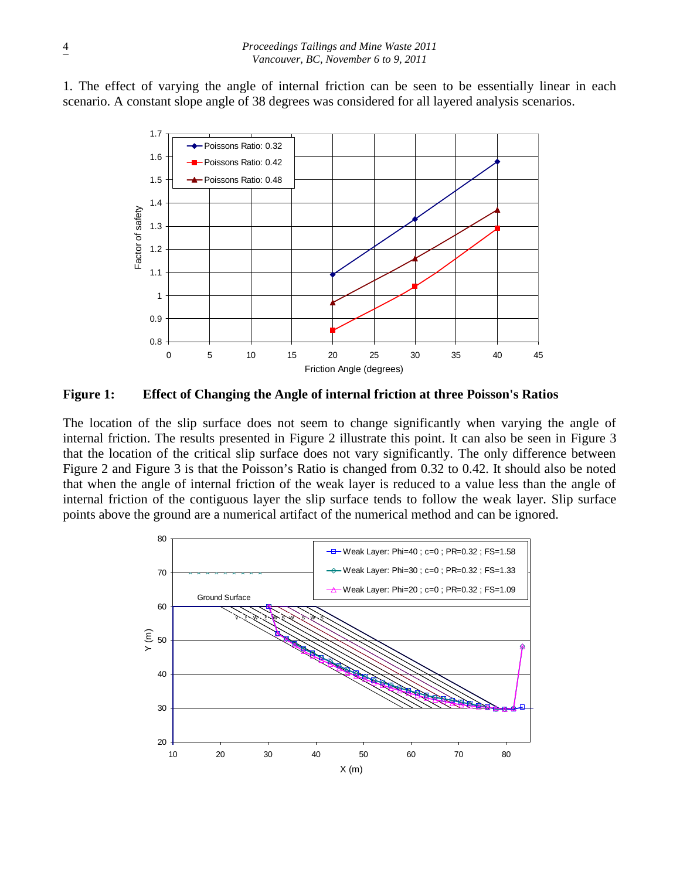1. The effect of varying the angle of internal friction can be seen to be essentially linear in each scenario. A constant slope angle of 38 degrees was considered for all layered analysis scenarios.



**Figure 1: Effect of Changing the Angle of internal friction at three Poisson's Ratios**

The location of the slip surface does not seem to change significantly when varying the angle of internal friction. The results presented in Figure 2 illustrate this point. It can also be seen in Figure 3 that the location of the critical slip surface does not vary significantly. The only difference between Figure 2 and Figure 3 is that the Poisson's Ratio is changed from 0.32 to 0.42. It should also be noted that when the angle of internal friction of the weak layer is reduced to a value less than the angle of internal friction of the contiguous layer the slip surface tends to follow the weak layer. Slip surface points above the ground are a numerical artifact of the numerical method and can be ignored.

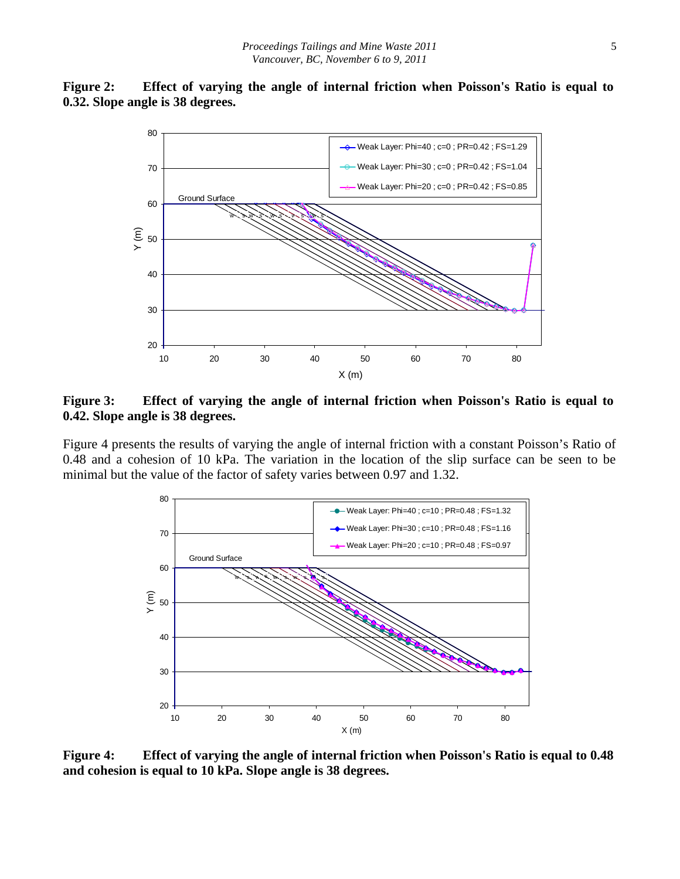



**Figure 3: Effect of varying the angle of internal friction when Poisson's Ratio is equal to 0.42. Slope angle is 38 degrees.**

Figure 4 presents the results of varying the angle of internal friction with a constant Poisson's Ratio of 0.48 and a cohesion of 10 kPa. The variation in the location of the slip surface can be seen to be minimal but the value of the factor of safety varies between 0.97 and 1.32.



**Figure 4: Effect of varying the angle of internal friction when Poisson's Ratio is equal to 0.48 and cohesion is equal to 10 kPa. Slope angle is 38 degrees.**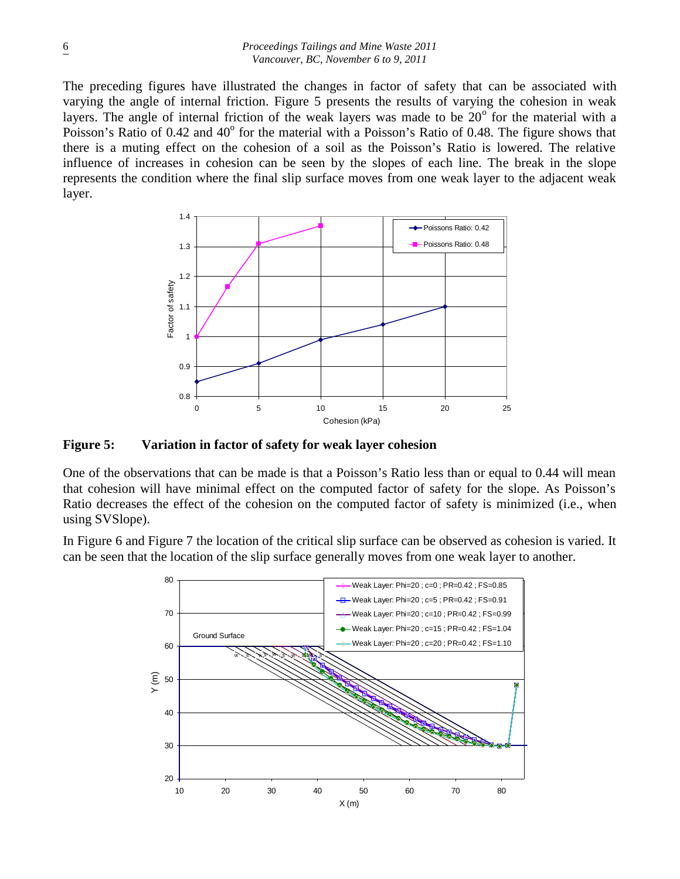The preceding figures have illustrated the changes in factor of safety that can be associated with varying the angle of internal friction. Figure 5 presents the results of varying the cohesion in weak layers. The angle of internal friction of the weak layers was made to be  $20^{\circ}$  for the material with a Poisson's Ratio of 0.42 and 40° for the material with a Poisson's Ratio of 0.48. The figure shows that there is a muting effect on the cohesion of a soil as the Poisson's Ratio is lowered. The relative influence of increases in cohesion can be seen by the slopes of each line. The break in the slope represents the condition where the final slip surface moves from one weak layer to the adjacent weak layer.



**Figure 5: Variation in factor of safety for weak layer cohesion**

One of the observations that can be made is that a Poisson's Ratio less than or equal to 0.44 will mean that cohesion will have minimal effect on the computed factor of safety for the slope. As Poisson's Ratio decreases the effect of the cohesion on the computed factor of safety is minimized (i.e., when using SVSlope).

In Figure 6 and Figure 7 the location of the critical slip surface can be observed as cohesion is varied. It can be seen that the location of the slip surface generally moves from one weak layer to another.

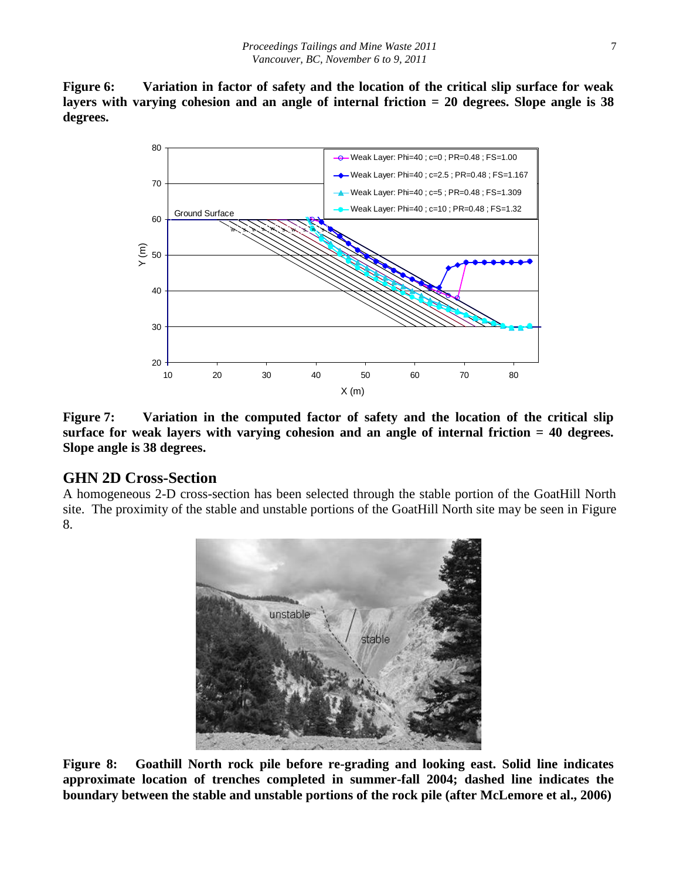**Figure 6: Variation in factor of safety and the location of the critical slip surface for weak layers with varying cohesion and an angle of internal friction = 20 degrees. Slope angle is 38 degrees.**



**Figure 7: Variation in the computed factor of safety and the location of the critical slip surface for weak layers with varying cohesion and an angle of internal friction = 40 degrees. Slope angle is 38 degrees.**

#### **GHN 2D Cross-Section**

A homogeneous 2-D cross-section has been selected through the stable portion of the GoatHill North site. The proximity of the stable and unstable portions of the GoatHill North site may be seen in Figure 8.



**Figure 8: Goathill North rock pile before re-grading and looking east. Solid line indicates approximate location of trenches completed in summer-fall 2004; dashed line indicates the boundary between the stable and unstable portions of the rock pile (after McLemore et al., 2006)**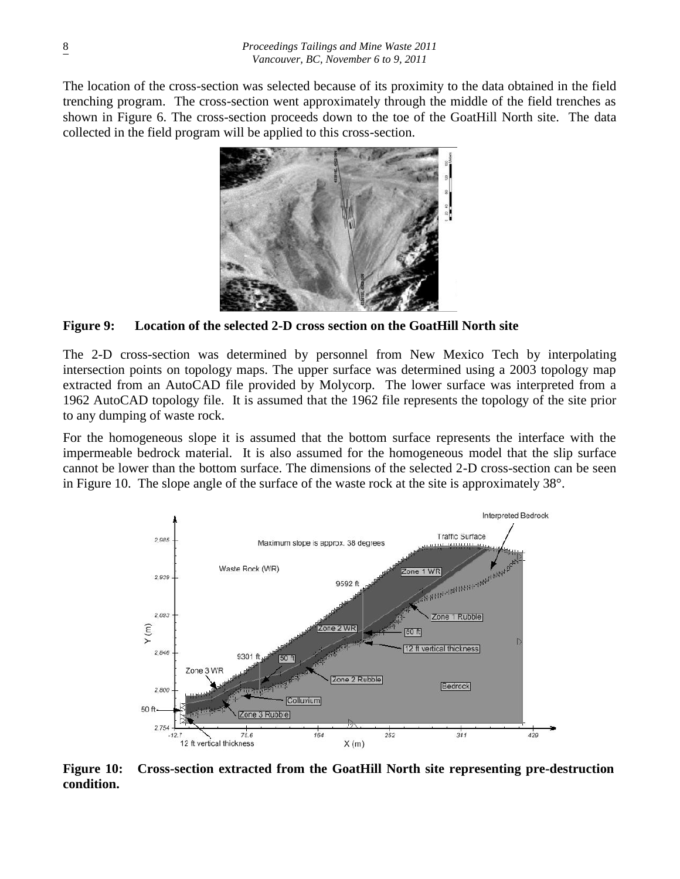The location of the cross-section was selected because of its proximity to the data obtained in the field trenching program. The cross-section went approximately through the middle of the field trenches as shown in Figure 6. The cross-section proceeds down to the toe of the GoatHill North site. The data collected in the field program will be applied to this cross-section.



**Figure 9: Location of the selected 2-D cross section on the GoatHill North site**

The 2-D cross-section was determined by personnel from New Mexico Tech by interpolating intersection points on topology maps. The upper surface was determined using a 2003 topology map extracted from an AutoCAD file provided by Molycorp. The lower surface was interpreted from a 1962 AutoCAD topology file. It is assumed that the 1962 file represents the topology of the site prior to any dumping of waste rock.

For the homogeneous slope it is assumed that the bottom surface represents the interface with the impermeable bedrock material. It is also assumed for the homogeneous model that the slip surface cannot be lower than the bottom surface. The dimensions of the selected 2-D cross-section can be seen in Figure 10. The slope angle of the surface of the waste rock at the site is approximately 38°.



**Figure 10: Cross-section extracted from the GoatHill North site representing pre-destruction condition.**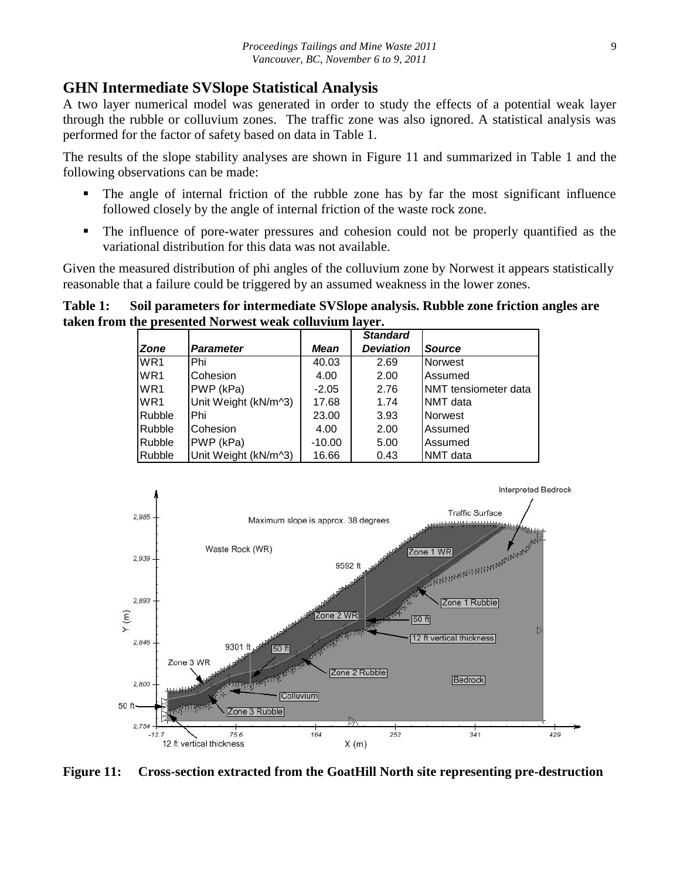#### **GHN Intermediate SVSlope Statistical Analysis**

A two layer numerical model was generated in order to study the effects of a potential weak layer through the rubble or colluvium zones. The traffic zone was also ignored. A statistical analysis was performed for the factor of safety based on data in Table 1.

The results of the slope stability analyses are shown in Figure 11 and summarized in Table 1 and the following observations can be made:

- The angle of internal friction of the rubble zone has by far the most significant influence followed closely by the angle of internal friction of the waste rock zone.
- The influence of pore-water pressures and cohesion could not be properly quantified as the variational distribution for this data was not available.

Given the measured distribution of phi angles of the colluvium zone by Norwest it appears statistically reasonable that a failure could be triggered by an assumed weakness in the lower zones.

**Table 1: Soil parameters for intermediate SVSlope analysis. Rubble zone friction angles are taken from the presented Norwest weak colluvium layer.**

|                 |                      |          | <b>Standard</b>  |                       |
|-----------------|----------------------|----------|------------------|-----------------------|
| <b>Zone</b>     | <b>Parameter</b>     | Mean     | <b>Deviation</b> | Source                |
| WR <sub>1</sub> | Phi                  | 40.03    | 2.69             | <b>Norwest</b>        |
| WR <sub>1</sub> | Cohesion             | 4.00     | 2.00             | Assumed               |
| WR <sub>1</sub> | PWP (kPa)            | $-2.05$  | 2.76             | INMT tensiometer data |
| WR <sub>1</sub> | Unit Weight (kN/m^3) | 17.68    | 1.74             | <b>NMT</b> data       |
| Rubble          | Phi                  | 23.00    | 3.93             | <b>Norwest</b>        |
| <b>Rubble</b>   | Cohesion             | 4.00     | 2.00             | Assumed               |
| <b>Rubble</b>   | PWP (kPa)            | $-10.00$ | 5.00             | Assumed               |
| Rubble          | Unit Weight (kN/m^3) | 16.66    | 0.43             | <b>NMT</b> data       |



**Figure 11: Cross-section extracted from the GoatHill North site representing pre-destruction**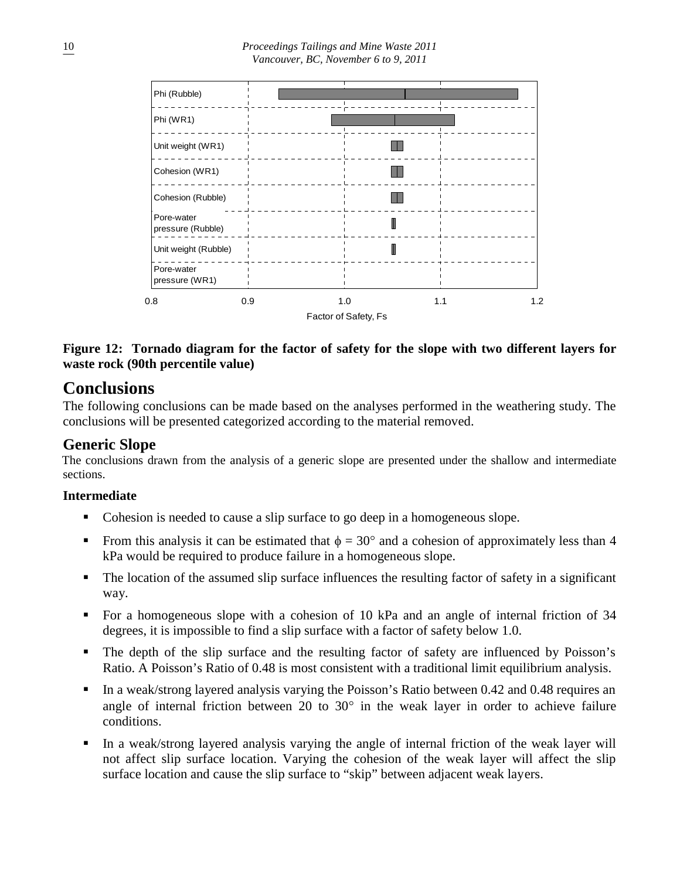

**Figure 12: Tornado diagram for the factor of safety for the slope with two different layers for waste rock (90th percentile value)**

# **Conclusions**

The following conclusions can be made based on the analyses performed in the weathering study. The conclusions will be presented categorized according to the material removed.

## **Generic Slope**

The conclusions drawn from the analysis of a generic slope are presented under the shallow and intermediate sections.

#### **Intermediate**

- Cohesion is needed to cause a slip surface to go deep in a homogeneous slope.
- From this analysis it can be estimated that  $\phi = 30^{\circ}$  and a cohesion of approximately less than 4 kPa would be required to produce failure in a homogeneous slope.
- The location of the assumed slip surface influences the resulting factor of safety in a significant way.
- For a homogeneous slope with a cohesion of 10 kPa and an angle of internal friction of 34 degrees, it is impossible to find a slip surface with a factor of safety below 1.0.
- The depth of the slip surface and the resulting factor of safety are influenced by Poisson's Ratio. A Poisson's Ratio of 0.48 is most consistent with a traditional limit equilibrium analysis.
- In a weak/strong layered analysis varying the Poisson's Ratio between 0.42 and 0.48 requires an angle of internal friction between 20 to  $30^{\circ}$  in the weak layer in order to achieve failure conditions.
- In a weak/strong layered analysis varying the angle of internal friction of the weak layer will not affect slip surface location. Varying the cohesion of the weak layer will affect the slip surface location and cause the slip surface to "skip" between adjacent weak layers.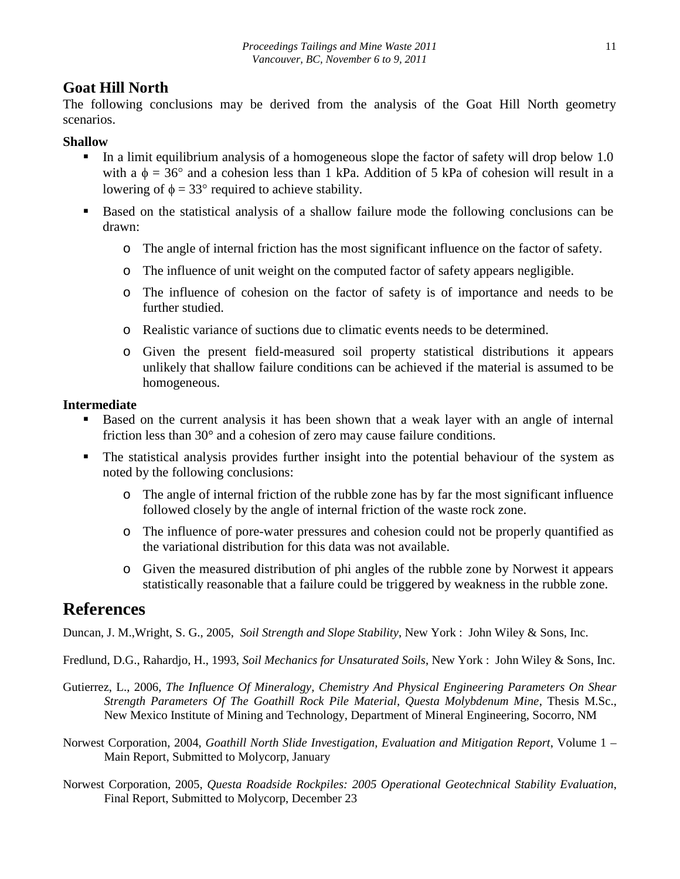# **Goat Hill North**

The following conclusions may be derived from the analysis of the Goat Hill North geometry scenarios.

#### **Shallow**

- In a limit equilibrium analysis of a homogeneous slope the factor of safety will drop below 1.0 with a  $\phi = 36^{\circ}$  and a cohesion less than 1 kPa. Addition of 5 kPa of cohesion will result in a lowering of  $\phi = 33^{\circ}$  required to achieve stability.
- Based on the statistical analysis of a shallow failure mode the following conclusions can be drawn:
	- o The angle of internal friction has the most significant influence on the factor of safety.
	- o The influence of unit weight on the computed factor of safety appears negligible.
	- o The influence of cohesion on the factor of safety is of importance and needs to be further studied.
	- o Realistic variance of suctions due to climatic events needs to be determined.
	- o Given the present field-measured soil property statistical distributions it appears unlikely that shallow failure conditions can be achieved if the material is assumed to be homogeneous.

#### **Intermediate**

- Based on the current analysis it has been shown that a weak layer with an angle of internal friction less than 30° and a cohesion of zero may cause failure conditions.
- The statistical analysis provides further insight into the potential behaviour of the system as noted by the following conclusions:
	- o The angle of internal friction of the rubble zone has by far the most significant influence followed closely by the angle of internal friction of the waste rock zone.
	- o The influence of pore-water pressures and cohesion could not be properly quantified as the variational distribution for this data was not available.
	- o Given the measured distribution of phi angles of the rubble zone by Norwest it appears statistically reasonable that a failure could be triggered by weakness in the rubble zone.

# **References**

Duncan, J. M.,Wright, S. G., 2005, *Soil Strength and Slope Stability*, New York : John Wiley & Sons, Inc.

Fredlund, D.G., Rahardjo, H., 1993, *Soil Mechanics for Unsaturated Soils*, New York : John Wiley & Sons, Inc.

- Gutierrez, L., 2006, *The Influence Of Mineralogy, Chemistry And Physical Engineering Parameters On Shear Strength Parameters Of The Goathill Rock Pile Material, Questa Molybdenum Mine*, Thesis M.Sc., New Mexico Institute of Mining and Technology, Department of Mineral Engineering, Socorro, NM
- Norwest Corporation, 2004, *Goathill North Slide Investigation, Evaluation and Mitigation Report*, Volume 1 Main Report, Submitted to Molycorp, January
- Norwest Corporation, 2005, *Questa Roadside Rockpiles: 2005 Operational Geotechnical Stability Evaluation*, Final Report, Submitted to Molycorp, December 23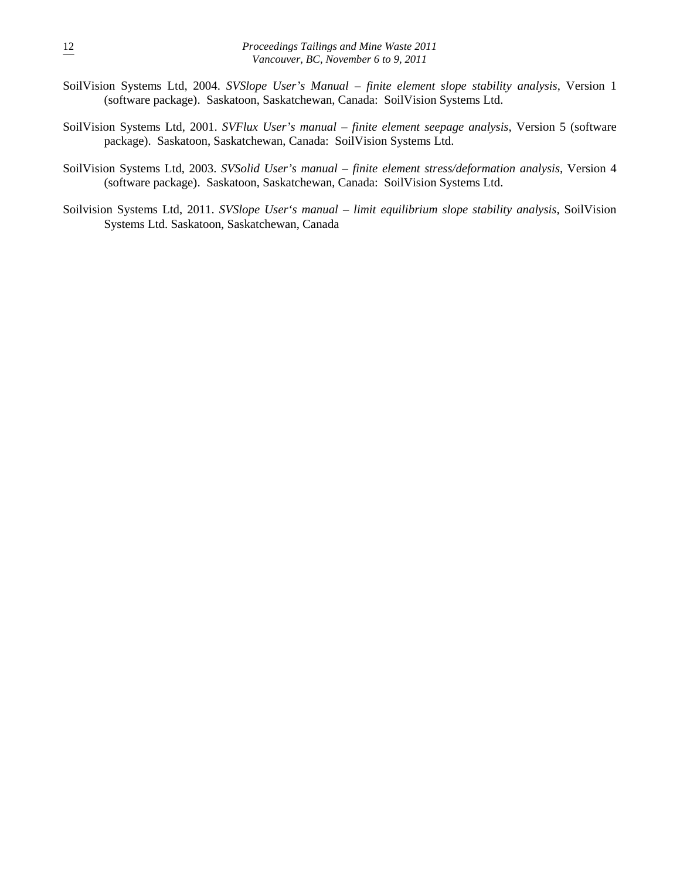- SoilVision Systems Ltd, 2004. *SVSlope User's Manual – finite element slope stability analysis*, Version 1 (software package). Saskatoon, Saskatchewan, Canada: SoilVision Systems Ltd.
- SoilVision Systems Ltd, 2001. *SVFlux User's manual – finite element seepage analysis*, Version 5 (software package). Saskatoon, Saskatchewan, Canada: SoilVision Systems Ltd.
- SoilVision Systems Ltd, 2003. *SVSolid User's manual – finite element stress/deformation analysis*, Version 4 (software package). Saskatoon, Saskatchewan, Canada: SoilVision Systems Ltd.
- Soilvision Systems Ltd, 2011. *SVSlope User's manual – limit equilibrium slope stability analysis*, SoilVision Systems Ltd. Saskatoon, Saskatchewan, Canada